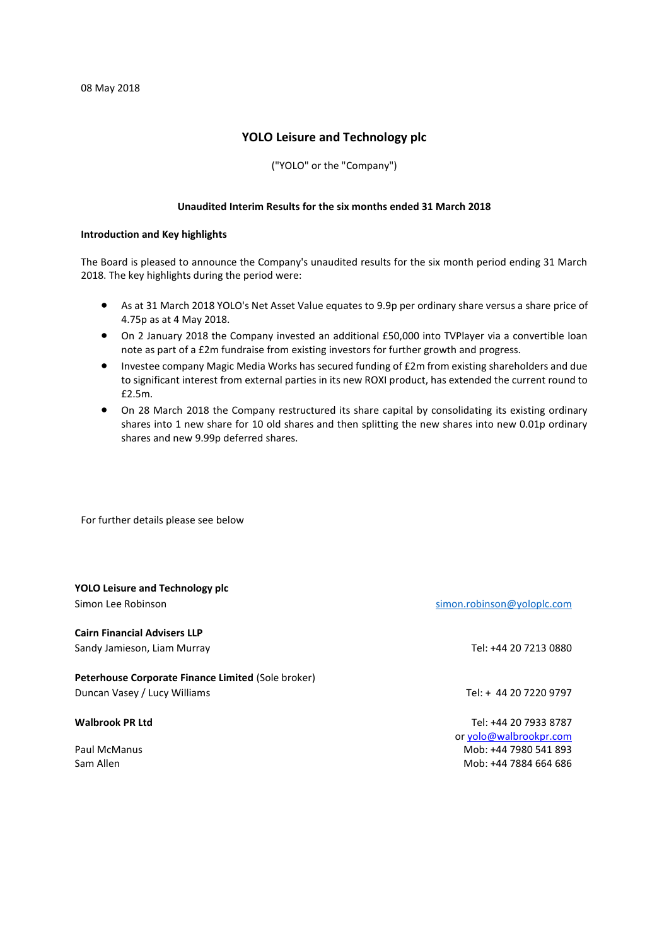### **YOLO Leisure and Technology plc**

("YOLO" or the "Company")

### **Unaudited Interim Results for the six months ended 31 March 2018**

### **Introduction and Key highlights**

The Board is pleased to announce the Company's unaudited results for the six month period ending 31 March 2018. The key highlights during the period were:

- As at 31 March 2018 YOLO's Net Asset Value equates to 9.9p per ordinary share versus a share price of 4.75p as at 4 May 2018.
- On 2 January 2018 the Company invested an additional £50,000 into TVPlayer via a convertible loan note as part of a £2m fundraise from existing investors for further growth and progress.
- Investee company Magic Media Works has secured funding of £2m from existing shareholders and due to significant interest from external parties in its new ROXI product, has extended the current round to £2.5m.
- On 28 March 2018 the Company restructured its share capital by consolidating its existing ordinary shares into 1 new share for 10 old shares and then splitting the new shares into new 0.01p ordinary shares and new 9.99p deferred shares.

For further details please see below

| YOLO Leisure and Technology plc                    |                            |
|----------------------------------------------------|----------------------------|
| Simon Lee Robinson                                 | simon.robinson@yoloplc.com |
| <b>Cairn Financial Advisers LLP</b>                |                            |
| Sandy Jamieson, Liam Murray                        | Tel: +44 20 7213 0880      |
| Peterhouse Corporate Finance Limited (Sole broker) |                            |
| Duncan Vasey / Lucy Williams                       | Tel: + 44 20 7220 9797     |
| <b>Walbrook PR Ltd</b>                             | Tel: +44 20 7933 8787      |
|                                                    | or yolo@walbrookpr.com     |
| Paul McManus                                       | Mob: +44 7980 541 893      |
| Sam Allen                                          | Mob: +44 7884 664 686      |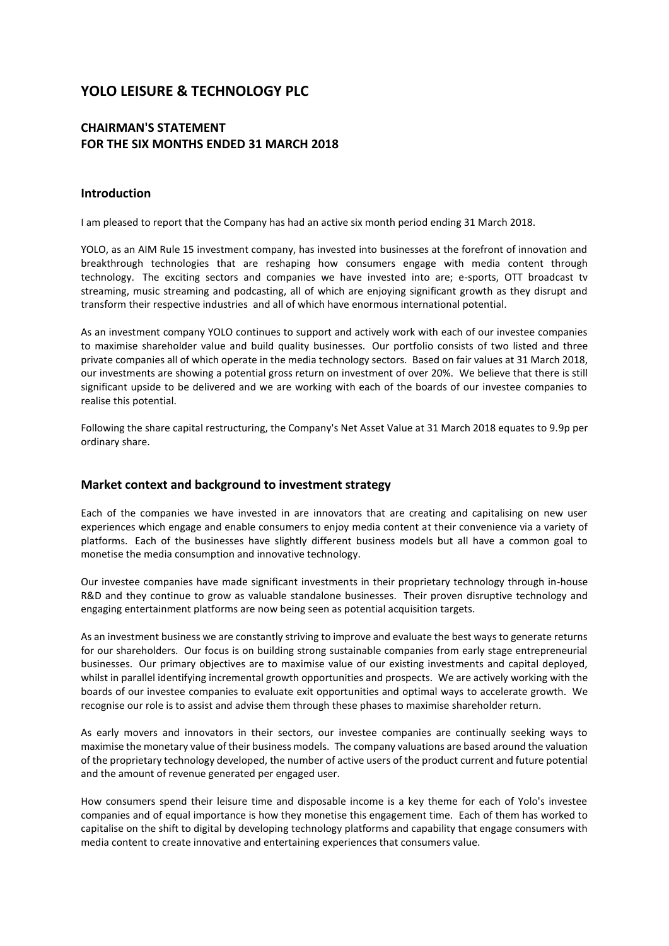## **CHAIRMAN'S STATEMENT FOR THE SIX MONTHS ENDED 31 MARCH 2018**

### **Introduction**

I am pleased to report that the Company has had an active six month period ending 31 March 2018.

YOLO, as an AIM Rule 15 investment company, has invested into businesses at the forefront of innovation and breakthrough technologies that are reshaping how consumers engage with media content through technology. The exciting sectors and companies we have invested into are; e-sports, OTT broadcast tv streaming, music streaming and podcasting, all of which are enjoying significant growth as they disrupt and transform their respective industries and all of which have enormous international potential.

As an investment company YOLO continues to support and actively work with each of our investee companies to maximise shareholder value and build quality businesses. Our portfolio consists of two listed and three private companies all of which operate in the media technology sectors. Based on fair values at 31 March 2018, our investments are showing a potential gross return on investment of over 20%. We believe that there is still significant upside to be delivered and we are working with each of the boards of our investee companies to realise this potential.

Following the share capital restructuring, the Company's Net Asset Value at 31 March 2018 equates to 9.9p per ordinary share.

### **Market context and background to investment strategy**

Each of the companies we have invested in are innovators that are creating and capitalising on new user experiences which engage and enable consumers to enjoy media content at their convenience via a variety of platforms. Each of the businesses have slightly different business models but all have a common goal to monetise the media consumption and innovative technology.

Our investee companies have made significant investments in their proprietary technology through in-house R&D and they continue to grow as valuable standalone businesses. Their proven disruptive technology and engaging entertainment platforms are now being seen as potential acquisition targets.

As an investment business we are constantly striving to improve and evaluate the best ways to generate returns for our shareholders. Our focus is on building strong sustainable companies from early stage entrepreneurial businesses. Our primary objectives are to maximise value of our existing investments and capital deployed, whilst in parallel identifying incremental growth opportunities and prospects. We are actively working with the boards of our investee companies to evaluate exit opportunities and optimal ways to accelerate growth. We recognise our role is to assist and advise them through these phases to maximise shareholder return.

As early movers and innovators in their sectors, our investee companies are continually seeking ways to maximise the monetary value of their business models. The company valuations are based around the valuation of the proprietary technology developed, the number of active users of the product current and future potential and the amount of revenue generated per engaged user.

How consumers spend their leisure time and disposable income is a key theme for each of Yolo's investee companies and of equal importance is how they monetise this engagement time. Each of them has worked to capitalise on the shift to digital by developing technology platforms and capability that engage consumers with media content to create innovative and entertaining experiences that consumers value.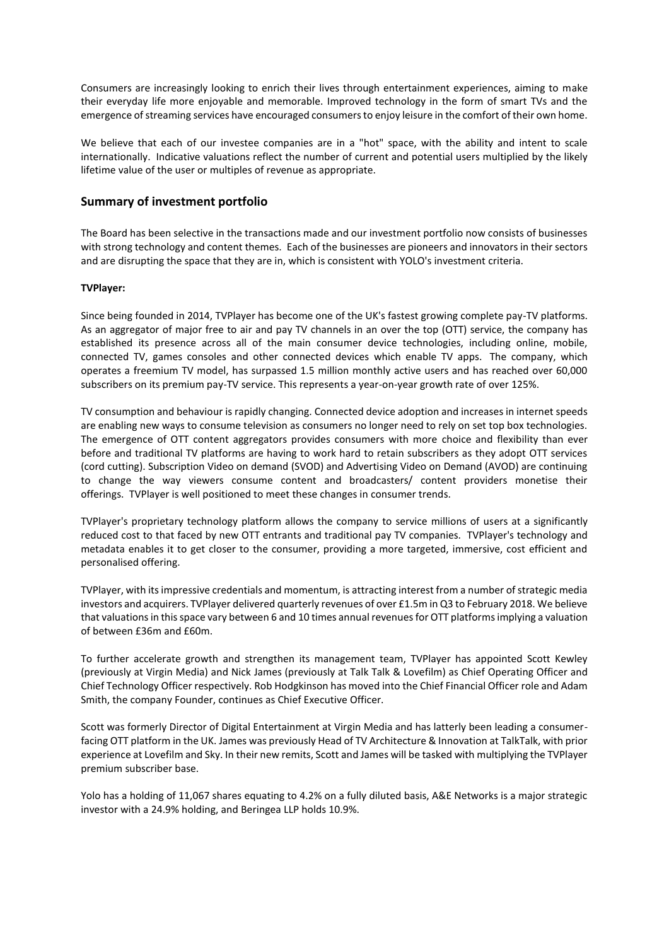Consumers are increasingly looking to enrich their lives through entertainment experiences, aiming to make their everyday life more enjoyable and memorable. Improved technology in the form of smart TVs and the emergence of streaming services have encouraged consumers to enjoy leisure in the comfort of their own home.

We believe that each of our investee companies are in a "hot" space, with the ability and intent to scale internationally. Indicative valuations reflect the number of current and potential users multiplied by the likely lifetime value of the user or multiples of revenue as appropriate.

### **Summary of investment portfolio**

The Board has been selective in the transactions made and our investment portfolio now consists of businesses with strong technology and content themes. Each of the businesses are pioneers and innovators in their sectors and are disrupting the space that they are in, which is consistent with YOLO's investment criteria.

### **TVPlayer:**

Since being founded in 2014, TVPlayer has become one of the UK's fastest growing complete pay-TV platforms. As an aggregator of major free to air and pay TV channels in an over the top (OTT) service, the company has established its presence across all of the main consumer device technologies, including online, mobile, connected TV, games consoles and other connected devices which enable TV apps. The company, which operates a freemium TV model, has surpassed 1.5 million monthly active users and has reached over 60,000 subscribers on its premium pay-TV service. This represents a year-on-year growth rate of over 125%.

TV consumption and behaviour is rapidly changing. Connected device adoption and increases in internet speeds are enabling new ways to consume television as consumers no longer need to rely on set top box technologies. The emergence of OTT content aggregators provides consumers with more choice and flexibility than ever before and traditional TV platforms are having to work hard to retain subscribers as they adopt OTT services (cord cutting). Subscription Video on demand (SVOD) and Advertising Video on Demand (AVOD) are continuing to change the way viewers consume content and broadcasters/ content providers monetise their offerings. TVPlayer is well positioned to meet these changes in consumer trends.

TVPlayer's proprietary technology platform allows the company to service millions of users at a significantly reduced cost to that faced by new OTT entrants and traditional pay TV companies. TVPlayer's technology and metadata enables it to get closer to the consumer, providing a more targeted, immersive, cost efficient and personalised offering.

TVPlayer, with its impressive credentials and momentum, is attracting interest from a number of strategic media investors and acquirers. TVPlayer delivered quarterly revenues of over £1.5m in Q3 to February 2018. We believe that valuations in thisspace vary between 6 and 10 times annual revenues for OTT platforms implying a valuation of between £36m and £60m.

To further accelerate growth and strengthen its management team, TVPlayer has appointed Scott Kewley (previously at Virgin Media) and Nick James (previously at Talk Talk & Lovefilm) as Chief Operating Officer and Chief Technology Officer respectively. Rob Hodgkinson has moved into the Chief Financial Officer role and Adam Smith, the company Founder, continues as Chief Executive Officer.

Scott was formerly Director of Digital Entertainment at Virgin Media and has latterly been leading a consumerfacing OTT platform in the UK. James was previously Head of TV Architecture & Innovation at TalkTalk, with prior experience at Lovefilm and Sky. In their new remits, Scott and James will be tasked with multiplying the TVPlayer premium subscriber base.

Yolo has a holding of 11,067 shares equating to 4.2% on a fully diluted basis, A&E Networks is a major strategic investor with a 24.9% holding, and Beringea LLP holds 10.9%.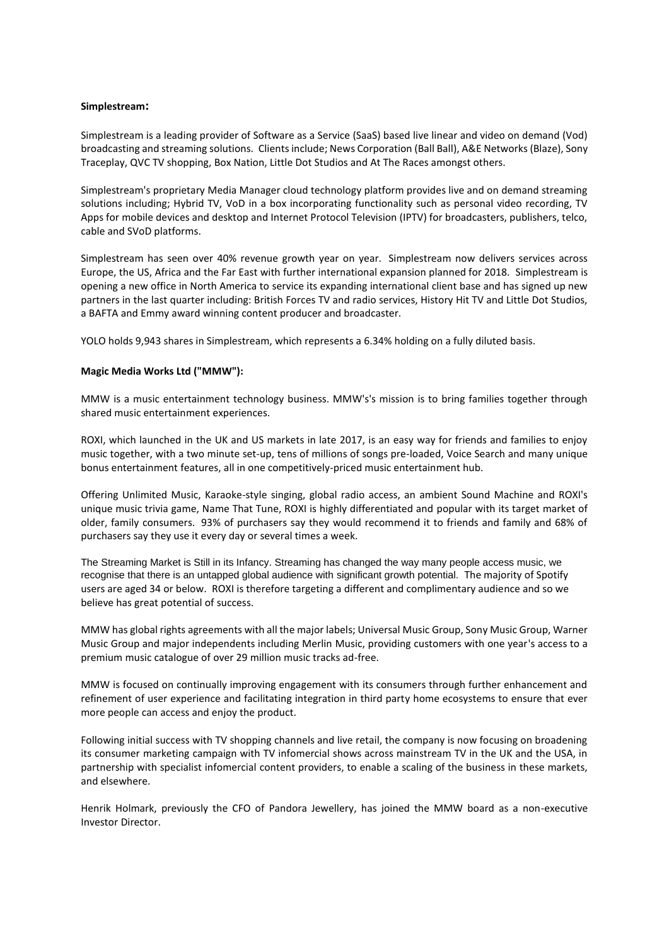#### **Simplestream:**

Simplestream is a leading provider of Software as a Service (SaaS) based live linear and video on demand (Vod) broadcasting and streaming solutions. Clients include; News Corporation (Ball Ball), A&E Networks (Blaze), Sony Traceplay, QVC TV shopping, Box Nation, Little Dot Studios and At The Races amongst others.

Simplestream's proprietary Media Manager cloud technology platform provides live and on demand streaming solutions including; Hybrid TV, VoD in a box incorporating functionality such as personal video recording, TV Apps for mobile devices and desktop and Internet Protocol Television (IPTV) for broadcasters, publishers, telco, cable and SVoD platforms.

Simplestream has seen over 40% revenue growth year on year. Simplestream now delivers services across Europe, the US, Africa and the Far East with further international expansion planned for 2018. Simplestream is opening a new office in North America to service its expanding international client base and has signed up new partners in the last quarter including: British Forces TV and radio services, History Hit TV and Little Dot Studios, a BAFTA and Emmy award winning content producer and broadcaster.

YOLO holds 9,943 shares in Simplestream, which represents a 6.34% holding on a fully diluted basis.

### **Magic Media Works Ltd ("MMW"):**

MMW is a music entertainment technology business. MMW's's mission is to bring families together through shared music entertainment experiences.

ROXI, which launched in the UK and US markets in late 2017, is an easy way for friends and families to enjoy music together, with a two minute set-up, tens of millions of songs pre-loaded, Voice Search and many unique bonus entertainment features, all in one competitively-priced music entertainment hub.

Offering Unlimited Music, Karaoke-style singing, global radio access, an ambient Sound Machine and ROXI's unique music trivia game, Name That Tune, ROXI is highly differentiated and popular with its target market of older, family consumers. 93% of purchasers say they would recommend it to friends and family and 68% of purchasers say they use it every day or several times a week.

The Streaming Market is Still in its Infancy. Streaming has changed the way many people access music, we recognise that there is an untapped global audience with significant growth potential. The majority of Spotify users are aged 34 or below. ROXI is therefore targeting a different and complimentary audience and so we believe has great potential of success.

MMW has global rights agreements with all the major labels; Universal Music Group, Sony Music Group, Warner Music Group and major independents including Merlin Music, providing customers with one year's access to a premium music catalogue of over 29 million music tracks ad-free.

MMW is focused on continually improving engagement with its consumers through further enhancement and refinement of user experience and facilitating integration in third party home ecosystems to ensure that ever more people can access and enjoy the product.

Following initial success with TV shopping channels and live retail, the company is now focusing on broadening its consumer marketing campaign with TV infomercial shows across mainstream TV in the UK and the USA, in partnership with specialist infomercial content providers, to enable a scaling of the business in these markets, and elsewhere.

Henrik Holmark, previously the CFO of Pandora Jewellery, has joined the MMW board as a non-executive Investor Director.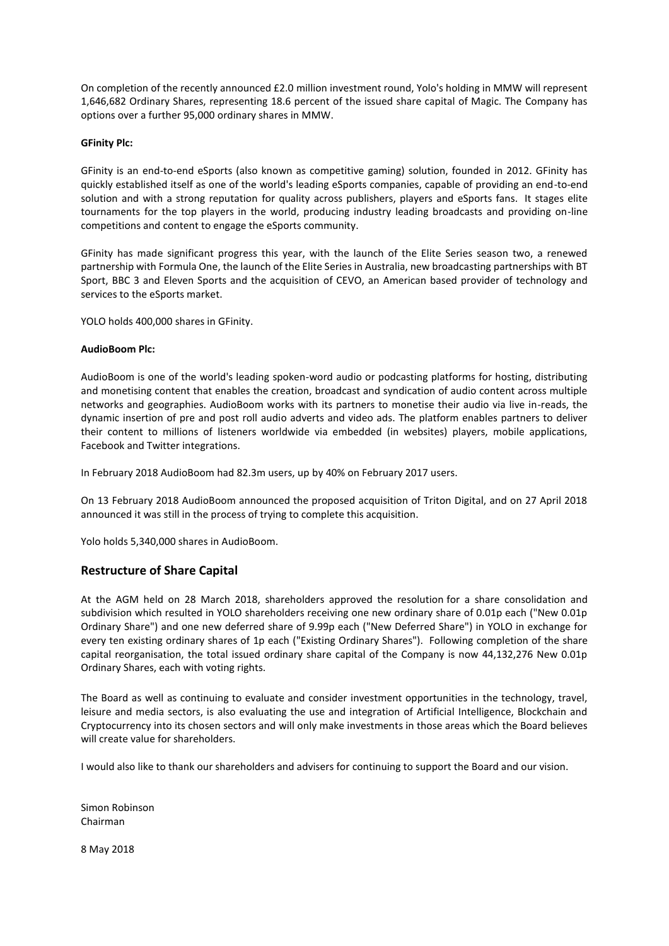On completion of the recently announced £2.0 million investment round, Yolo's holding in MMW will represent 1,646,682 Ordinary Shares, representing 18.6 percent of the issued share capital of Magic. The Company has options over a further 95,000 ordinary shares in MMW.

### **GFinity Plc:**

GFinity is an end-to-end eSports (also known as competitive gaming) solution, founded in 2012. GFinity has quickly established itself as one of the world's leading eSports companies, capable of providing an end-to-end solution and with a strong reputation for quality across publishers, players and eSports fans. It stages elite tournaments for the top players in the world, producing industry leading broadcasts and providing on-line competitions and content to engage the eSports community.

GFinity has made significant progress this year, with the launch of the Elite Series season two, a renewed partnership with Formula One, the launch of the Elite Series in Australia, new broadcasting partnerships with BT Sport, BBC 3 and Eleven Sports and the acquisition of CEVO, an American based provider of technology and services to the eSports market.

YOLO holds 400,000 shares in GFinity.

### **AudioBoom Plc:**

AudioBoom is one of the world's leading spoken-word audio or podcasting platforms for hosting, distributing and monetising content that enables the creation, broadcast and syndication of audio content across multiple networks and geographies. AudioBoom works with its partners to monetise their audio via live in-reads, the dynamic insertion of pre and post roll audio adverts and video ads. The platform enables partners to deliver their content to millions of listeners worldwide via embedded (in websites) players, mobile applications, Facebook and Twitter integrations.

In February 2018 AudioBoom had 82.3m users, up by 40% on February 2017 users.

On 13 February 2018 AudioBoom announced the proposed acquisition of Triton Digital, and on 27 April 2018 announced it was still in the process of trying to complete this acquisition.

Yolo holds 5,340,000 shares in AudioBoom.

## **Restructure of Share Capital**

At the AGM held on 28 March 2018, shareholders approved the resolution for a share consolidation and subdivision which resulted in YOLO shareholders receiving one new ordinary share of 0.01p each ("New 0.01p Ordinary Share") and one new deferred share of 9.99p each ("New Deferred Share") in YOLO in exchange for every ten existing ordinary shares of 1p each ("Existing Ordinary Shares"). Following completion of the share capital reorganisation, the total issued ordinary share capital of the Company is now 44,132,276 New 0.01p Ordinary Shares, each with voting rights.

The Board as well as continuing to evaluate and consider investment opportunities in the technology, travel, leisure and media sectors, is also evaluating the use and integration of Artificial Intelligence, Blockchain and Cryptocurrency into its chosen sectors and will only make investments in those areas which the Board believes will create value for shareholders.

I would also like to thank our shareholders and advisers for continuing to support the Board and our vision.

Simon Robinson Chairman

8 May 2018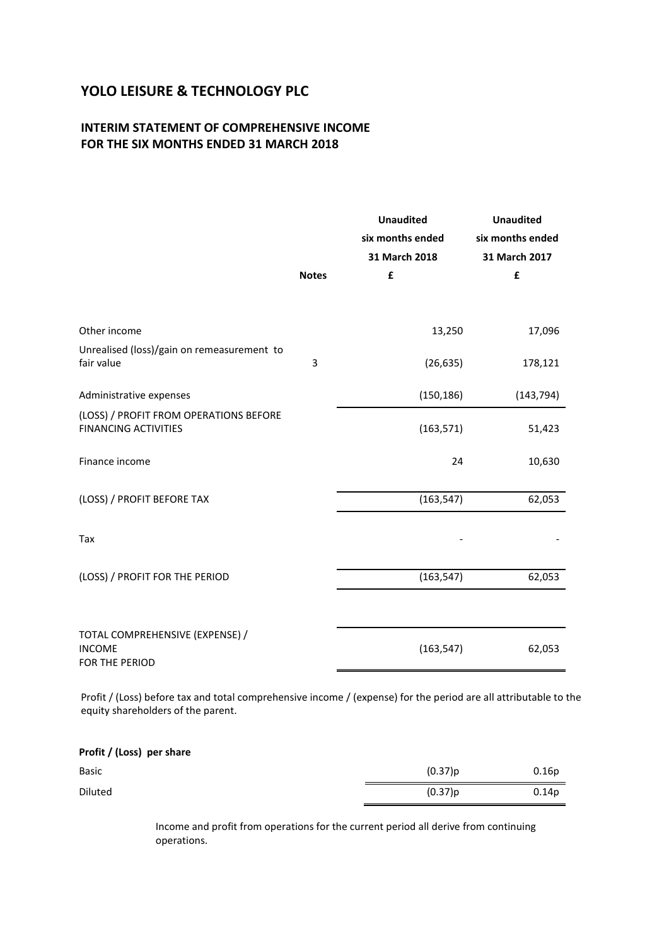## **INTERIM STATEMENT OF COMPREHENSIVE INCOME FOR THE SIX MONTHS ENDED 31 MARCH 2018**

|                                                                       | <b>Notes</b> | <b>Unaudited</b><br>six months ended<br>31 March 2018<br>£ | <b>Unaudited</b><br>six months ended<br>31 March 2017<br>£ |
|-----------------------------------------------------------------------|--------------|------------------------------------------------------------|------------------------------------------------------------|
| Other income                                                          |              | 13,250                                                     | 17,096                                                     |
| Unrealised (loss)/gain on remeasurement to<br>fair value              | 3            | (26, 635)                                                  | 178,121                                                    |
| Administrative expenses                                               |              | (150, 186)                                                 | (143, 794)                                                 |
| (LOSS) / PROFIT FROM OPERATIONS BEFORE<br><b>FINANCING ACTIVITIES</b> |              | (163, 571)                                                 | 51,423                                                     |
| Finance income                                                        |              | 24                                                         | 10,630                                                     |
| (LOSS) / PROFIT BEFORE TAX                                            |              | (163, 547)                                                 | 62,053                                                     |
| Tax                                                                   |              |                                                            |                                                            |
| (LOSS) / PROFIT FOR THE PERIOD                                        |              | (163, 547)                                                 | 62,053                                                     |
|                                                                       |              |                                                            |                                                            |
| TOTAL COMPREHENSIVE (EXPENSE) /<br><b>INCOME</b><br>FOR THE PERIOD    |              | (163, 547)                                                 | 62,053                                                     |

Profit / (Loss) before tax and total comprehensive income / (expense) for the period are all attributable to the equity shareholders of the parent.

| Profit / (Loss) per share |         |                   |
|---------------------------|---------|-------------------|
| <b>Basic</b>              | (0.37)p | 0.16p             |
| Diluted                   | (0.37)p | 0.14 <sub>p</sub> |

Income and profit from operations for the current period all derive from continuing operations.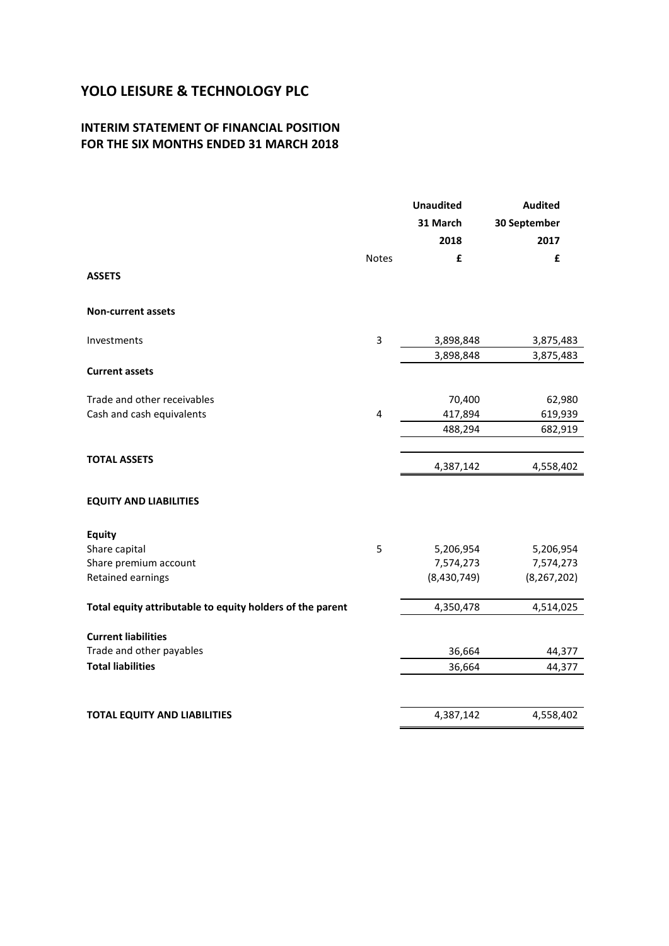## **INTERIM STATEMENT OF FINANCIAL POSITION FOR THE SIX MONTHS ENDED 31 MARCH 2018**

|                                                           |                         | <b>Unaudited</b><br>31 March<br>2018 | <b>Audited</b><br>30 September<br>2017 |
|-----------------------------------------------------------|-------------------------|--------------------------------------|----------------------------------------|
|                                                           | Notes                   | £                                    | £                                      |
| <b>ASSETS</b>                                             |                         |                                      |                                        |
| <b>Non-current assets</b>                                 |                         |                                      |                                        |
| Investments                                               | 3                       | 3,898,848                            | 3,875,483                              |
| <b>Current assets</b>                                     |                         | 3,898,848                            | 3,875,483                              |
| Trade and other receivables<br>Cash and cash equivalents  | $\overline{\mathbf{4}}$ | 70,400<br>417,894                    | 62,980<br>619,939                      |
|                                                           |                         | 488,294                              | 682,919                                |
| <b>TOTAL ASSETS</b>                                       |                         | 4,387,142                            | 4,558,402                              |
| <b>EQUITY AND LIABILITIES</b>                             |                         |                                      |                                        |
| Equity                                                    |                         |                                      |                                        |
| Share capital                                             | 5                       | 5,206,954                            | 5,206,954                              |
| Share premium account                                     |                         | 7,574,273                            | 7,574,273                              |
| Retained earnings                                         |                         | (8,430,749)                          | (8, 267, 202)                          |
| Total equity attributable to equity holders of the parent |                         | 4,350,478                            | 4,514,025                              |
| <b>Current liabilities</b>                                |                         |                                      |                                        |
| Trade and other payables                                  |                         | 36,664                               | 44,377                                 |
| <b>Total liabilities</b>                                  |                         | 36,664                               | 44,377                                 |
|                                                           |                         |                                      |                                        |
| <b>TOTAL EQUITY AND LIABILITIES</b>                       |                         | 4,387,142                            | 4,558,402                              |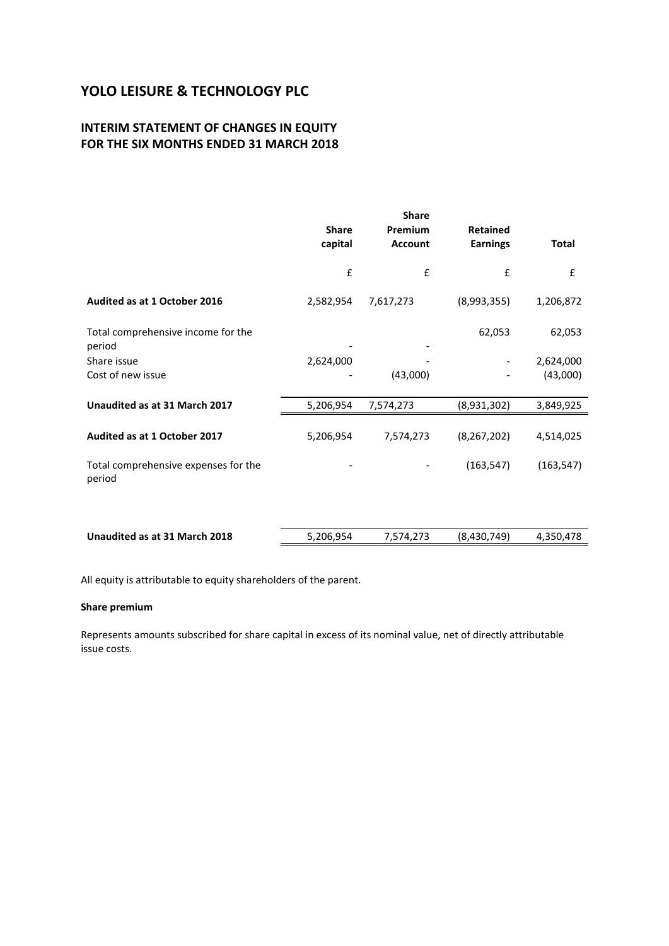## **INTERIM STATEMENT OF CHANGES IN EQUITY FOR THE SIX MONTHS ENDED 31 MARCH 2018**

|                                                | <b>Share</b><br>capital | <b>Share</b><br>Premium<br><b>Account</b> | <b>Retained</b><br><b>Earnings</b> | <b>Total</b> |
|------------------------------------------------|-------------------------|-------------------------------------------|------------------------------------|--------------|
|                                                | £                       | £                                         | £                                  | £            |
| Audited as at 1 October 2016                   | 2,582,954               | 7,617,273                                 | (8,993,355)                        | 1,206,872    |
| Total comprehensive income for the<br>period   |                         |                                           | 62,053                             | 62,053       |
| Share issue                                    | 2,624,000               |                                           |                                    | 2,624,000    |
| Cost of new issue                              |                         | (43,000)                                  |                                    | (43,000)     |
| Unaudited as at 31 March 2017                  | 5,206,954               | 7,574,273                                 | (8,931,302)                        | 3,849,925    |
| Audited as at 1 October 2017                   | 5,206,954               | 7,574,273                                 | (8, 267, 202)                      | 4,514,025    |
| Total comprehensive expenses for the<br>period |                         |                                           | (163, 547)                         | (163, 547)   |
|                                                |                         |                                           |                                    |              |
| Unaudited as at 31 March 2018                  | 5,206,954               | 7,574,273                                 | (8,430,749)                        | 4,350,478    |

All equity is attributable to equity shareholders of the parent.

### **Share premium**

Represents amounts subscribed for share capital in excess of its nominal value, net of directly attributable issue costs.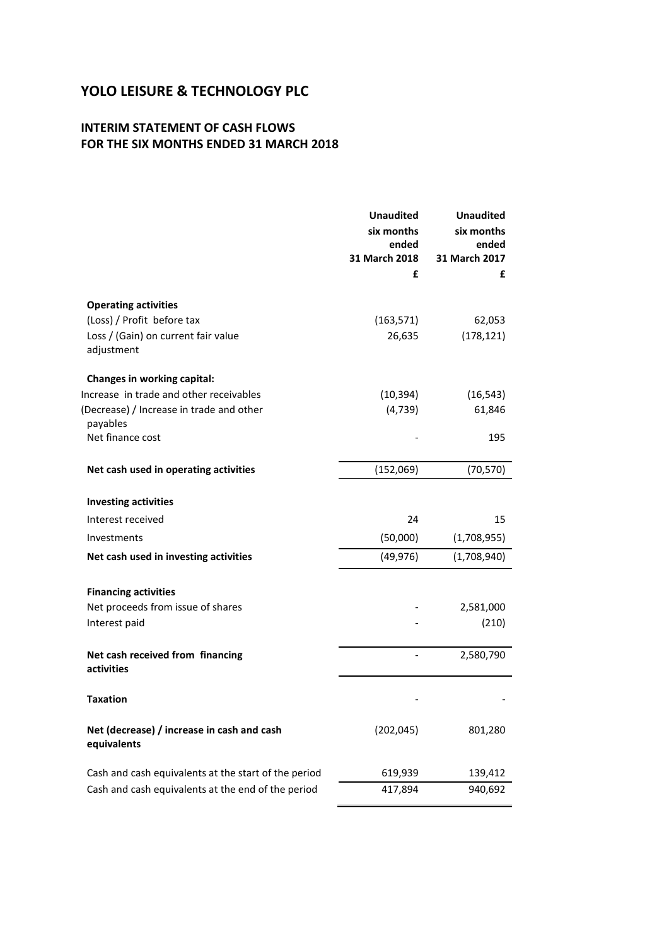## **INTERIM STATEMENT OF CASH FLOWS FOR THE SIX MONTHS ENDED 31 MARCH 2018**

|                                                                                                                                                    | <b>Unaudited</b><br>six months<br>ended<br>31 March 2018 | <b>Unaudited</b><br>six months<br>ended<br>31 March 2017 |
|----------------------------------------------------------------------------------------------------------------------------------------------------|----------------------------------------------------------|----------------------------------------------------------|
|                                                                                                                                                    | £                                                        | £                                                        |
| <b>Operating activities</b><br>(Loss) / Profit before tax<br>Loss / (Gain) on current fair value<br>adjustment                                     | (163, 571)<br>26,635                                     | 62,053<br>(178, 121)                                     |
| Changes in working capital:<br>Increase in trade and other receivables<br>(Decrease) / Increase in trade and other<br>payables<br>Net finance cost | (10, 394)<br>(4, 739)                                    | (16, 543)<br>61,846<br>195                               |
|                                                                                                                                                    |                                                          |                                                          |
| Net cash used in operating activities                                                                                                              | (152,069)                                                | (70, 570)                                                |
| <b>Investing activities</b><br>Interest received                                                                                                   | 24                                                       | 15                                                       |
| Investments                                                                                                                                        | (50,000)                                                 | (1,708,955)                                              |
| Net cash used in investing activities                                                                                                              | (49, 976)                                                | (1,708,940)                                              |
| <b>Financing activities</b><br>Net proceeds from issue of shares<br>Interest paid                                                                  |                                                          | 2,581,000<br>(210)                                       |
| Net cash received from financing<br>activities                                                                                                     |                                                          | 2,580,790                                                |
| <b>Taxation</b>                                                                                                                                    |                                                          |                                                          |
| Net (decrease) / increase in cash and cash<br>equivalents                                                                                          | (202, 045)                                               | 801,280                                                  |
| Cash and cash equivalents at the start of the period                                                                                               | 619,939                                                  | 139,412                                                  |
| Cash and cash equivalents at the end of the period                                                                                                 | 417,894                                                  | 940,692                                                  |

 $\blacksquare$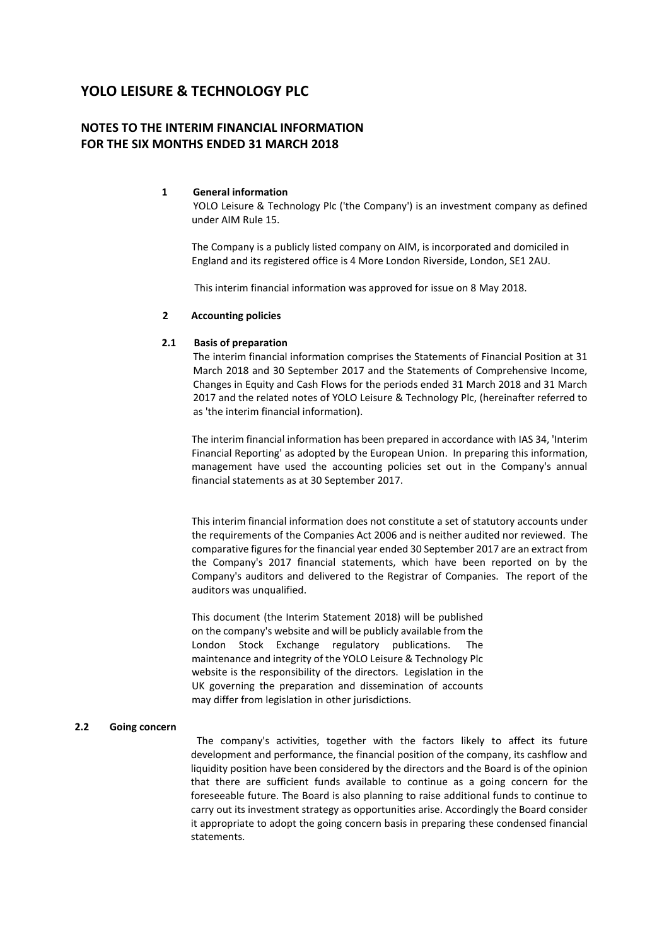## **NOTES TO THE INTERIM FINANCIAL INFORMATION FOR THE SIX MONTHS ENDED 31 MARCH 2018**

#### **1 General information**

YOLO Leisure & Technology Plc ('the Company') is an investment company as defined under AIM Rule 15.

The Company is a publicly listed company on AIM, is incorporated and domiciled in England and its registered office is 4 More London Riverside, London, SE1 2AU.

This interim financial information was approved for issue on 8 May 2018.

#### **2 Accounting policies**

### **2.1 Basis of preparation**

The interim financial information comprises the Statements of Financial Position at 31 March 2018 and 30 September 2017 and the Statements of Comprehensive Income, Changes in Equity and Cash Flows for the periods ended 31 March 2018 and 31 March 2017 and the related notes of YOLO Leisure & Technology Plc, (hereinafter referred to as 'the interim financial information).

The interim financial information has been prepared in accordance with IAS 34, 'Interim Financial Reporting' as adopted by the European Union. In preparing this information, management have used the accounting policies set out in the Company's annual financial statements as at 30 September 2017.

This interim financial information does not constitute a set of statutory accounts under the requirements of the Companies Act 2006 and is neither audited nor reviewed. The comparative figures for the financial year ended 30 September 2017 are an extract from the Company's 2017 financial statements, which have been reported on by the Company's auditors and delivered to the Registrar of Companies. The report of the auditors was unqualified.

This document (the Interim Statement 2018) will be published on the company's website and will be publicly available from the London Stock Exchange regulatory publications. The maintenance and integrity of the YOLO Leisure & Technology Plc website is the responsibility of the directors. Legislation in the UK governing the preparation and dissemination of accounts may differ from legislation in other jurisdictions.

#### **2.2 Going concern**

 The company's activities, together with the factors likely to affect its future development and performance, the financial position of the company, its cashflow and liquidity position have been considered by the directors and the Board is of the opinion that there are sufficient funds available to continue as a going concern for the foreseeable future. The Board is also planning to raise additional funds to continue to carry out its investment strategy as opportunities arise. Accordingly the Board consider it appropriate to adopt the going concern basis in preparing these condensed financial statements.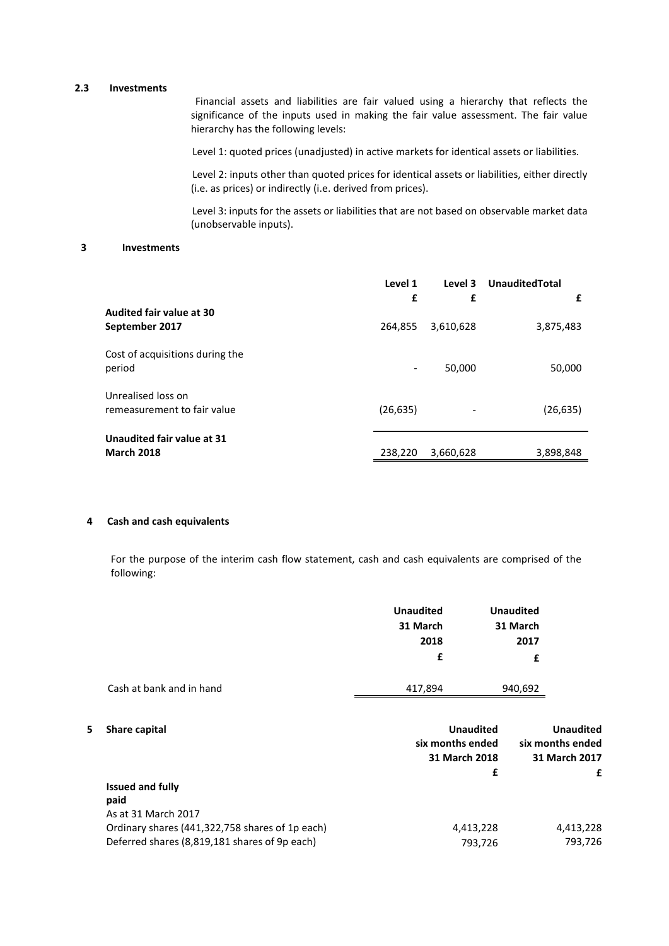### **2.3 Investments**

 Financial assets and liabilities are fair valued using a hierarchy that reflects the significance of the inputs used in making the fair value assessment. The fair value hierarchy has the following levels:

Level 1: quoted prices (unadjusted) in active markets for identical assets or liabilities.

 Level 2: inputs other than quoted prices for identical assets or liabilities, either directly (i.e. as prices) or indirectly (i.e. derived from prices).

 Level 3: inputs for the assets or liabilities that are not based on observable market data (unobservable inputs).

#### **3 Investments**

|                                                   | Level 1<br>£ | Level 3<br>£ | <b>Unaudited Total</b><br>£ |
|---------------------------------------------------|--------------|--------------|-----------------------------|
| <b>Audited fair value at 30</b><br>September 2017 | 264,855      | 3,610,628    | 3,875,483                   |
| Cost of acquisitions during the<br>period         |              | 50,000       | 50,000                      |
| Unrealised loss on<br>remeasurement to fair value | (26, 635)    |              | (26, 635)                   |
| Unaudited fair value at 31<br><b>March 2018</b>   | 238,220      | 3,660,628    | 3,898,848                   |

### **4 Cash and cash equivalents**

For the purpose of the interim cash flow statement, cash and cash equivalents are comprised of the following:

|                          | <b>Unaudited</b><br>31 March<br>2018<br>£ | <b>Unaudited</b><br>31 March<br>2017<br>£ |
|--------------------------|-------------------------------------------|-------------------------------------------|
| Cash at bank and in hand | 417,894                                   | 940,692                                   |

| 5. | Share capital                                   | <b>Unaudited</b> | <b>Unaudited</b> |
|----|-------------------------------------------------|------------------|------------------|
|    |                                                 | six months ended | six months ended |
|    |                                                 | 31 March 2018    | 31 March 2017    |
|    |                                                 | £                | £                |
|    | <b>Issued and fully</b>                         |                  |                  |
|    | paid                                            |                  |                  |
|    | As at 31 March 2017                             |                  |                  |
|    | Ordinary shares (441,322,758 shares of 1p each) | 4,413,228        | 4,413,228        |
|    | Deferred shares (8,819,181 shares of 9p each)   | 793.726          | 793.726          |